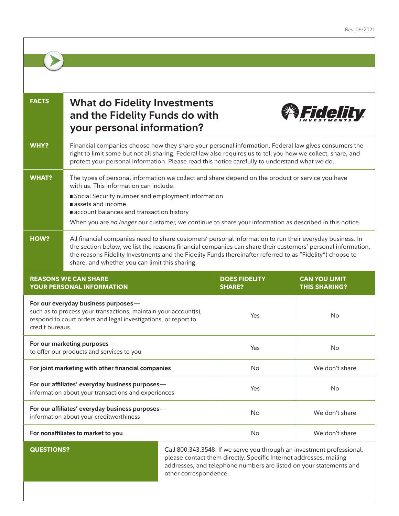| <b>FACTS</b>                                                                                                                                                                               | <b>What do Fidelity Investments</b><br>Fra a H<br>and the Fidelity Funds do with<br>your personal information?                                                                                                                                                                                                                                                                         |     |                                                                                                                                                                                                                    |                                              |
|--------------------------------------------------------------------------------------------------------------------------------------------------------------------------------------------|----------------------------------------------------------------------------------------------------------------------------------------------------------------------------------------------------------------------------------------------------------------------------------------------------------------------------------------------------------------------------------------|-----|--------------------------------------------------------------------------------------------------------------------------------------------------------------------------------------------------------------------|----------------------------------------------|
| <b>WHY?</b>                                                                                                                                                                                | Financial companies choose how they share your personal information. Federal law gives consumers the<br>right to limit some but not all sharing. Federal law also requires us to tell you how we collect, share, and<br>protect your personal information. Please read this notice carefully to understand what we do.                                                                 |     |                                                                                                                                                                                                                    |                                              |
| <b>WHAT?</b>                                                                                                                                                                               | The types of personal information we collect and share depend on the product or service you have<br>with us. This information can include:<br>Social Security number and employment information<br>assets and income<br>account balances and transaction history<br>When you are no longer our customer, we continue to share your information as described in this notice.            |     |                                                                                                                                                                                                                    |                                              |
| HOW?                                                                                                                                                                                       | All financial companies need to share customers' personal information to run their everyday business. In<br>the section below, we list the reasons financial companies can share their customers' personal information,<br>the reasons Fidelity Investments and the Fidelity Funds (hereinafter referred to as "Fidelity") choose to<br>share, and whether you can limit this sharing. |     |                                                                                                                                                                                                                    |                                              |
| <b>REASONS WE CAN SHARE</b><br>YOUR PERSONAL INFORMATION                                                                                                                                   |                                                                                                                                                                                                                                                                                                                                                                                        |     | <b>DOES FIDELITY</b><br><b>SHARE?</b>                                                                                                                                                                              | <b>CAN YOU LIMIT</b><br><b>THIS SHARING?</b> |
| For our everyday business purposes-<br>such as to process your transactions, maintain your account(s),<br>respond to court orders and legal investigations, or report to<br>credit bureaus |                                                                                                                                                                                                                                                                                                                                                                                        |     | Yes                                                                                                                                                                                                                | <b>No</b>                                    |
| For our marketing purposes-<br>to offer our products and services to you                                                                                                                   |                                                                                                                                                                                                                                                                                                                                                                                        | Yes | No                                                                                                                                                                                                                 |                                              |
| For joint marketing with other financial companies                                                                                                                                         |                                                                                                                                                                                                                                                                                                                                                                                        | No  | We don't share                                                                                                                                                                                                     |                                              |
| For our affiliates' everyday business purposes-<br>information about your transactions and experiences                                                                                     |                                                                                                                                                                                                                                                                                                                                                                                        | Yes | <b>No</b>                                                                                                                                                                                                          |                                              |
| For our affiliates' everyday business purposes-<br>information about your creditworthiness                                                                                                 |                                                                                                                                                                                                                                                                                                                                                                                        | No  | We don't share                                                                                                                                                                                                     |                                              |
| For nonaffiliates to market to you                                                                                                                                                         |                                                                                                                                                                                                                                                                                                                                                                                        |     | No                                                                                                                                                                                                                 | We don't share                               |
| <b>QUESTIONS?</b>                                                                                                                                                                          |                                                                                                                                                                                                                                                                                                                                                                                        |     | Call 800.343.3548. If we serve you through an investment professional,<br>please contact them directly. Specific Internet addresses, mailing<br>addresses, and telephone numbers are listed on your statements and |                                              |

addresses, and telephone numbers are listed on your statements and other correspondence.